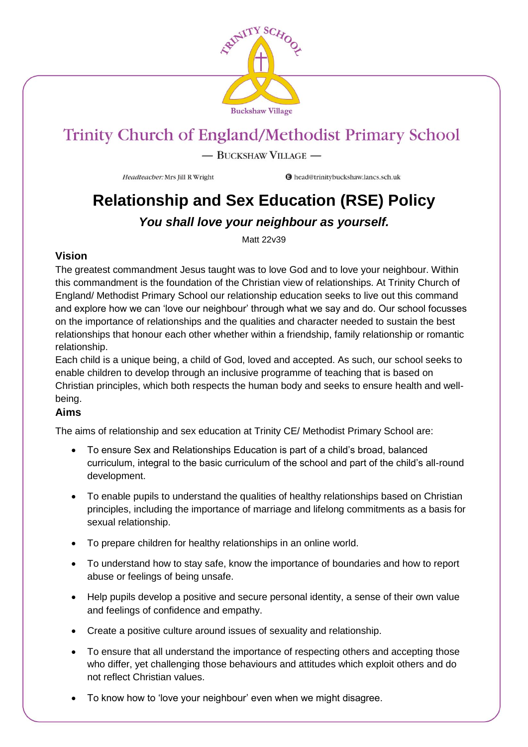

- BUCKSHAW VILLAGE -

Headteacher: Mrs Jill R Wright

**O** head@trinitybuckshaw.lancs.sch.uk

## **Relationship and Sex Education (RSE) Policy**

### *You shall love your neighbour as yourself.*

Matt 22v39

### **Vision**

The greatest commandment Jesus taught was to love God and to love your neighbour. Within this commandment is the foundation of the Christian view of relationships. At Trinity Church of England/ Methodist Primary School our relationship education seeks to live out this command and explore how we can 'love our neighbour' through what we say and do. Our school focusses on the importance of relationships and the qualities and character needed to sustain the best relationships that honour each other whether within a friendship, family relationship or romantic relationship.

Each child is a unique being, a child of God, loved and accepted. As such, our school seeks to enable children to develop through an inclusive programme of teaching that is based on Christian principles, which both respects the human body and seeks to ensure health and wellbeing.

### **Aims**

The aims of relationship and sex education at Trinity CE/ Methodist Primary School are:

- To ensure Sex and Relationships Education is part of a child's broad, balanced curriculum, integral to the basic curriculum of the school and part of the child's all-round development.
- To enable pupils to understand the qualities of healthy relationships based on Christian principles, including the importance of marriage and lifelong commitments as a basis for sexual relationship.
- To prepare children for healthy relationships in an online world.
- To understand how to stay safe, know the importance of boundaries and how to report abuse or feelings of being unsafe.
- Help pupils develop a positive and secure personal identity, a sense of their own value and feelings of confidence and empathy.
- Create a positive culture around issues of sexuality and relationship.
- To ensure that all understand the importance of respecting others and accepting those who differ, yet challenging those behaviours and attitudes which exploit others and do not reflect Christian values.
- To know how to 'love your neighbour' even when we might disagree.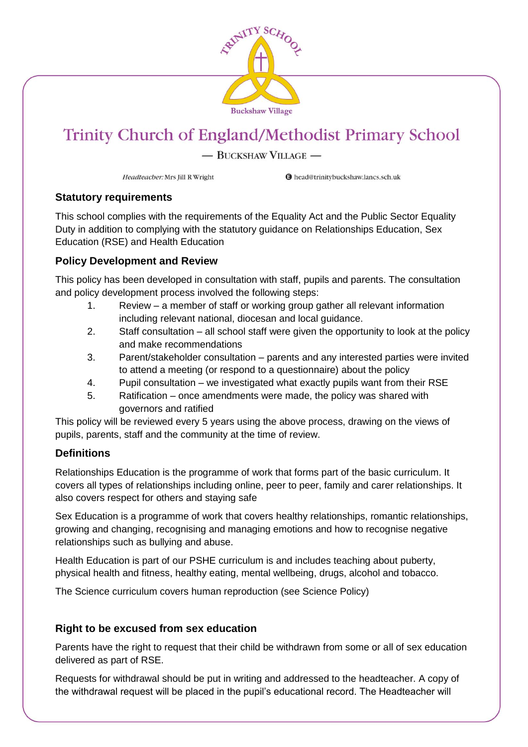

#### - BUCKSHAW VILLAGE -

Headteacher: Mrs Jill R Wright

**O** head@trinitybuckshaw.lancs.sch.uk

#### **Statutory requirements**

This school complies with the requirements of the Equality Act and the Public Sector Equality Duty in addition to complying with the statutory guidance on Relationships Education, Sex Education (RSE) and Health Education

#### **Policy Development and Review**

This policy has been developed in consultation with staff, pupils and parents. The consultation and policy development process involved the following steps:

- 1. Review a member of staff or working group gather all relevant information including relevant national, diocesan and local guidance.
- 2. Staff consultation all school staff were given the opportunity to look at the policy and make recommendations
- 3. Parent/stakeholder consultation parents and any interested parties were invited to attend a meeting (or respond to a questionnaire) about the policy
- 4. Pupil consultation we investigated what exactly pupils want from their RSE
- 5. Ratification once amendments were made, the policy was shared with governors and ratified

This policy will be reviewed every 5 years using the above process, drawing on the views of pupils, parents, staff and the community at the time of review.

### **Definitions**

Relationships Education is the programme of work that forms part of the basic curriculum. It covers all types of relationships including online, peer to peer, family and carer relationships. It also covers respect for others and staying safe

Sex Education is a programme of work that covers healthy relationships, romantic relationships, growing and changing, recognising and managing emotions and how to recognise negative relationships such as bullying and abuse.

Health Education is part of our PSHE curriculum is and includes teaching about puberty, physical health and fitness, healthy eating, mental wellbeing, drugs, alcohol and tobacco.

The Science curriculum covers human reproduction (see Science Policy)

#### **Right to be excused from sex education**

Parents have the right to request that their child be withdrawn from some or all of sex education delivered as part of RSE.

Requests for withdrawal should be put in writing and addressed to the headteacher. A copy of the withdrawal request will be placed in the pupil's educational record. The Headteacher will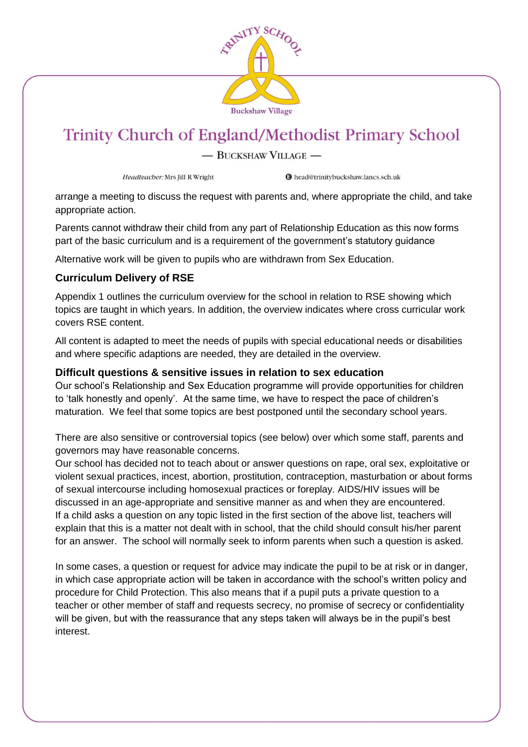

- BUCKSHAW VILLAGE -

Headteacher: Mrs Jill R Wright

**O** head@trinitybuckshaw.lancs.sch.uk

arrange a meeting to discuss the request with parents and, where appropriate the child, and take appropriate action.

Parents cannot withdraw their child from any part of Relationship Education as this now forms part of the basic curriculum and is a requirement of the government's statutory guidance

Alternative work will be given to pupils who are withdrawn from Sex Education.

#### **Curriculum Delivery of RSE**

Appendix 1 outlines the curriculum overview for the school in relation to RSE showing which topics are taught in which years. In addition, the overview indicates where cross curricular work covers RSE content.

All content is adapted to meet the needs of pupils with special educational needs or disabilities and where specific adaptions are needed, they are detailed in the overview.

#### **Difficult questions & sensitive issues in relation to sex education**

Our school's Relationship and Sex Education programme will provide opportunities for children to 'talk honestly and openly'. At the same time, we have to respect the pace of children's maturation. We feel that some topics are best postponed until the secondary school years.

There are also sensitive or controversial topics (see below) over which some staff, parents and governors may have reasonable concerns.

Our school has decided not to teach about or answer questions on rape, oral sex, exploitative or violent sexual practices, incest, abortion, prostitution, contraception, masturbation or about forms of sexual intercourse including homosexual practices or foreplay. AIDS/HIV issues will be discussed in an age-appropriate and sensitive manner as and when they are encountered. If a child asks a question on any topic listed in the first section of the above list, teachers will explain that this is a matter not dealt with in school, that the child should consult his/her parent for an answer. The school will normally seek to inform parents when such a question is asked.

In some cases, a question or request for advice may indicate the pupil to be at risk or in danger, in which case appropriate action will be taken in accordance with the school's written policy and procedure for Child Protection. This also means that if a pupil puts a private question to a teacher or other member of staff and requests secrecy, no promise of secrecy or confidentiality will be given, but with the reassurance that any steps taken will always be in the pupil's best interest.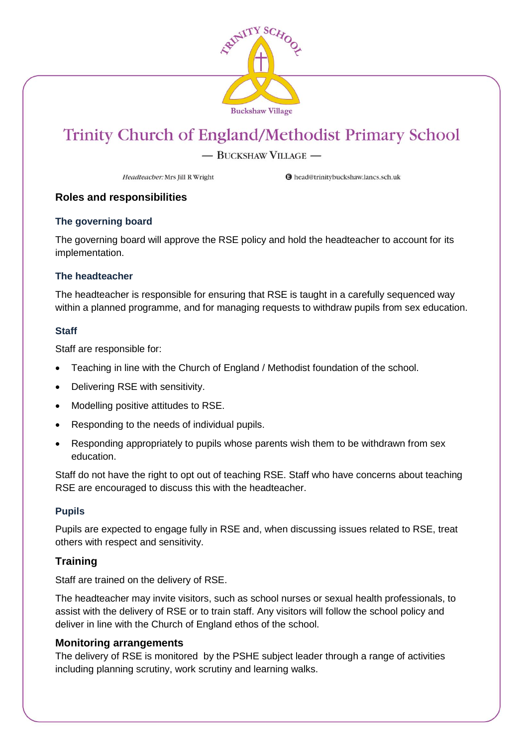

#### - BUCKSHAW VILLAGE -

Headteacher: Mrs Jill R Wright

**O** head@trinitybuckshaw.lancs.sch.uk

#### **Roles and responsibilities**

#### **The governing board**

The governing board will approve the RSE policy and hold the headteacher to account for its implementation.

#### **The headteacher**

The headteacher is responsible for ensuring that RSE is taught in a carefully sequenced way within a planned programme, and for managing requests to withdraw pupils from sex education.

#### **Staff**

Staff are responsible for:

- Teaching in line with the Church of England / Methodist foundation of the school.
- Delivering RSE with sensitivity.
- Modelling positive attitudes to RSE.
- Responding to the needs of individual pupils.
- Responding appropriately to pupils whose parents wish them to be withdrawn from sex education.

Staff do not have the right to opt out of teaching RSE. Staff who have concerns about teaching RSE are encouraged to discuss this with the headteacher.

#### **Pupils**

Pupils are expected to engage fully in RSE and, when discussing issues related to RSE, treat others with respect and sensitivity.

#### **Training**

Staff are trained on the delivery of RSE.

The headteacher may invite visitors, such as school nurses or sexual health professionals, to assist with the delivery of RSE or to train staff. Any visitors will follow the school policy and deliver in line with the Church of England ethos of the school.

#### **Monitoring arrangements**

The delivery of RSE is monitored by the PSHE subject leader through a range of activities including planning scrutiny, work scrutiny and learning walks.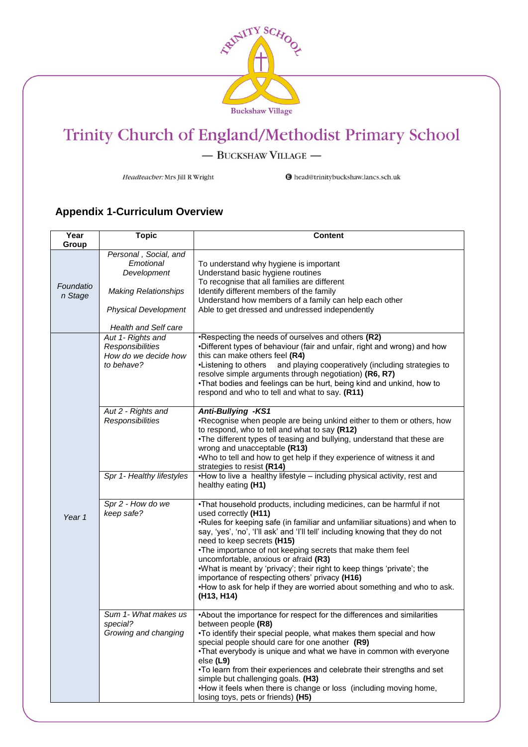

- BUCKSHAW VILLAGE -

Headteacher: Mrs Jill R Wright

**O** head@trinitybuckshaw.lancs.sch.uk

### **Appendix 1-Curriculum Overview**

| Year<br>Group        | <b>Topic</b>                                                                                                                            | <b>Content</b>                                                                                                                                                                                                                                                                                                                                                                                                                                                                                                                                                                                                            |
|----------------------|-----------------------------------------------------------------------------------------------------------------------------------------|---------------------------------------------------------------------------------------------------------------------------------------------------------------------------------------------------------------------------------------------------------------------------------------------------------------------------------------------------------------------------------------------------------------------------------------------------------------------------------------------------------------------------------------------------------------------------------------------------------------------------|
| Foundatio<br>n Stage | Personal, Social, and<br>Emotional<br>Development<br><b>Making Relationships</b><br><b>Physical Development</b><br>Health and Self care | To understand why hygiene is important<br>Understand basic hygiene routines<br>To recognise that all families are different<br>Identify different members of the family<br>Understand how members of a family can help each other<br>Able to get dressed and undressed independently                                                                                                                                                                                                                                                                                                                                      |
| Year 1               | Aut 1- Rights and<br>Responsibilities<br>How do we decide how<br>to behave?                                                             | *Respecting the needs of ourselves and others (R2)<br>.Different types of behaviour (fair and unfair, right and wrong) and how<br>this can make others feel (R4)<br>•Listening to others<br>and playing cooperatively (including strategies to<br>resolve simple arguments through negotiation) (R6, R7)<br>.That bodies and feelings can be hurt, being kind and unkind, how to<br>respond and who to tell and what to say. (R11)                                                                                                                                                                                        |
|                      | Aut 2 - Rights and<br><b>Responsibilities</b>                                                                                           | <b>Anti-Bullying -KS1</b><br>•Recognise when people are being unkind either to them or others, how<br>to respond, who to tell and what to say (R12)<br>. The different types of teasing and bullying, understand that these are<br>wrong and unacceptable (R13)<br>.Who to tell and how to get help if they experience of witness it and<br>strategies to resist (R14)                                                                                                                                                                                                                                                    |
|                      | Spr 1- Healthy lifestyles                                                                                                               | •How to live a healthy lifestyle - including physical activity, rest and<br>healthy eating (H1)                                                                                                                                                                                                                                                                                                                                                                                                                                                                                                                           |
|                      | Spr 2 - How do we<br>keep safe?                                                                                                         | .That household products, including medicines, can be harmful if not<br>used correctly (H11)<br>•Rules for keeping safe (in familiar and unfamiliar situations) and when to<br>say, 'yes', 'no', 'I'll ask' and 'I'll tell' including knowing that they do not<br>need to keep secrets (H15)<br>•The importance of not keeping secrets that make them feel<br>uncomfortable, anxious or afraid (R3)<br>.What is meant by 'privacy'; their right to keep things 'private'; the<br>importance of respecting others' privacy (H16)<br>•How to ask for help if they are worried about something and who to ask.<br>(H13, H14) |
|                      | Sum 1- What makes us<br>special?<br>Growing and changing                                                                                | •About the importance for respect for the differences and similarities<br>between people (R8)<br>. To identify their special people, what makes them special and how<br>special people should care for one another (R9)<br>. That everybody is unique and what we have in common with everyone<br>else (L9)<br>. To learn from their experiences and celebrate their strengths and set<br>simple but challenging goals. (H3)<br>•How it feels when there is change or loss (including moving home,<br>losing toys, pets or friends) (H5)                                                                                  |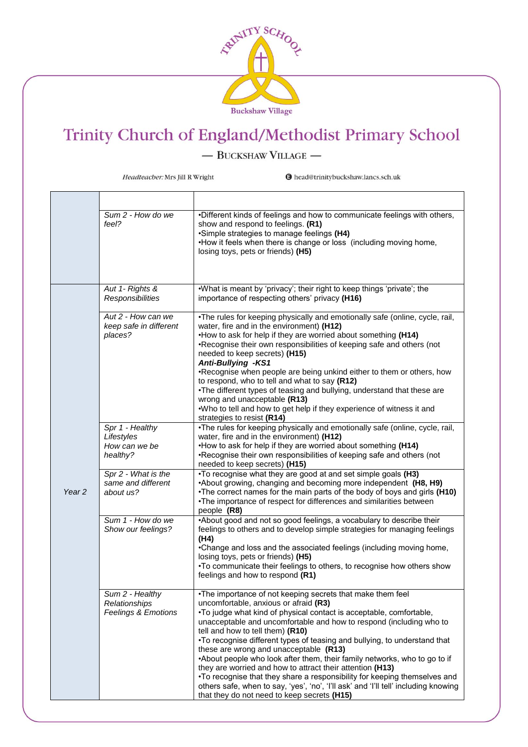

 $-$  BUCKSHAW VILLAGE  $-$ 

Headteacher: Mrs Jill R Wright

|                   | Sum 2 - How do we<br>feel?                                         | •Different kinds of feelings and how to communicate feelings with others,<br>show and respond to feelings. (R1)<br>•Simple strategies to manage feelings (H4)<br>•How it feels when there is change or loss (including moving home,<br>losing toys, pets or friends) (H5)                                                                                                                                                                                                                                                                                                                                                           |
|-------------------|--------------------------------------------------------------------|-------------------------------------------------------------------------------------------------------------------------------------------------------------------------------------------------------------------------------------------------------------------------------------------------------------------------------------------------------------------------------------------------------------------------------------------------------------------------------------------------------------------------------------------------------------------------------------------------------------------------------------|
|                   |                                                                    |                                                                                                                                                                                                                                                                                                                                                                                                                                                                                                                                                                                                                                     |
|                   | Aut 1- Rights &<br><b>Responsibilities</b>                         | .What is meant by 'privacy'; their right to keep things 'private'; the<br>importance of respecting others' privacy (H16)                                                                                                                                                                                                                                                                                                                                                                                                                                                                                                            |
|                   | Aut 2 - How can we<br>keep safe in different<br>places?            | . The rules for keeping physically and emotionally safe (online, cycle, rail,<br>water, fire and in the environment) (H12)<br>. How to ask for help if they are worried about something (H14)<br>•Recognise their own responsibilities of keeping safe and others (not<br>needed to keep secrets) (H15)<br><b>Anti-Bullying -KS1</b>                                                                                                                                                                                                                                                                                                |
|                   |                                                                    | •Recognise when people are being unkind either to them or others, how<br>to respond, who to tell and what to say (R12)<br>. The different types of teasing and bullying, understand that these are<br>wrong and unacceptable (R13)<br>.Who to tell and how to get help if they experience of witness it and                                                                                                                                                                                                                                                                                                                         |
|                   | Spr 1 - Healthy                                                    | strategies to resist (R14)<br>•The rules for keeping physically and emotionally safe (online, cycle, rail,                                                                                                                                                                                                                                                                                                                                                                                                                                                                                                                          |
|                   | Lifestyles                                                         | water, fire and in the environment) (H12)                                                                                                                                                                                                                                                                                                                                                                                                                                                                                                                                                                                           |
| Year <sub>2</sub> | How can we be<br>healthy?                                          | •How to ask for help if they are worried about something (H14)<br>•Recognise their own responsibilities of keeping safe and others (not<br>needed to keep secrets) (H15)                                                                                                                                                                                                                                                                                                                                                                                                                                                            |
|                   | Spr 2 - What is the<br>same and different<br>about us?             | •To recognise what they are good at and set simple goals (H3)<br>•About growing, changing and becoming more independent (H8, H9)<br>•The correct names for the main parts of the body of boys and girls (H10)<br>•The importance of respect for differences and similarities between<br>people (R8)                                                                                                                                                                                                                                                                                                                                 |
|                   | Sum 1 - How do we<br>Show our feelings?                            | •About good and not so good feelings, a vocabulary to describe their<br>feelings to others and to develop simple strategies for managing feelings<br>(H4)                                                                                                                                                                                                                                                                                                                                                                                                                                                                           |
|                   |                                                                    | •Change and loss and the associated feelings (including moving home,<br>losing toys, pets or friends) (H5)<br>. To communicate their feelings to others, to recognise how others show<br>feelings and how to respond (R1)                                                                                                                                                                                                                                                                                                                                                                                                           |
|                   | Sum 2 - Healthy<br>Relationships<br><b>Feelings &amp; Emotions</b> | •The importance of not keeping secrets that make them feel<br>uncomfortable, anxious or afraid (R3)<br>•To judge what kind of physical contact is acceptable, comfortable,<br>unacceptable and uncomfortable and how to respond (including who to<br>tell and how to tell them) (R10)<br>•To recognise different types of teasing and bullying, to understand that<br>these are wrong and unacceptable (R13)<br>•About people who look after them, their family networks, who to go to if<br>they are worried and how to attract their attention (H13)<br>•To recognise that they share a responsibility for keeping themselves and |
|                   |                                                                    | others safe, when to say, 'yes', 'no', 'I'll ask' and 'I'll tell' including knowing<br>that they do not need to keep secrets (H15)                                                                                                                                                                                                                                                                                                                                                                                                                                                                                                  |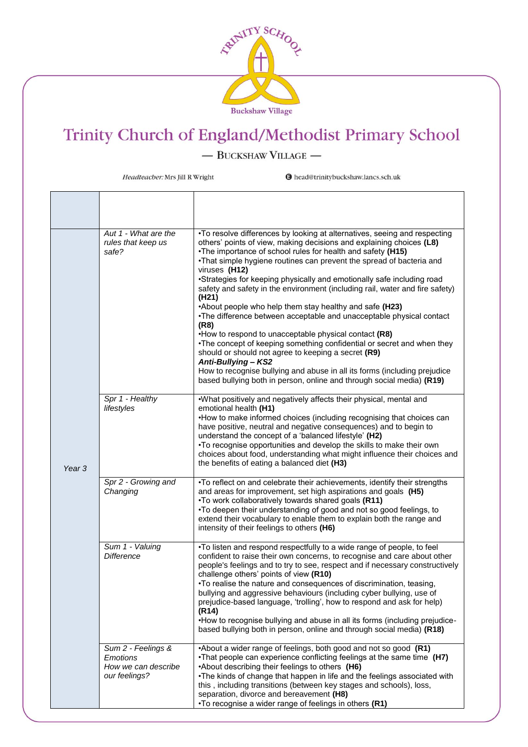

 $-$  BUCKSHAW VILLAGE  $-$ 

Headteacher: Mrs Jill R Wright

| Year <sub>3</sub> | Aut 1 - What are the<br>rules that keep us<br>safe?                           | •To resolve differences by looking at alternatives, seeing and respecting<br>others' points of view, making decisions and explaining choices (L8)<br>. The importance of school rules for health and safety (H15)<br>•That simple hygiene routines can prevent the spread of bacteria and<br>viruses (H12)<br>•Strategies for keeping physically and emotionally safe including road<br>safety and safety in the environment (including rail, water and fire safety)<br>(H <sub>21</sub> )<br>•About people who help them stay healthy and safe (H23)<br>•The difference between acceptable and unacceptable physical contact<br>(R8)<br>•How to respond to unacceptable physical contact (R8)<br>•The concept of keeping something confidential or secret and when they<br>should or should not agree to keeping a secret (R9)<br>Anti-Bullying - KS2<br>How to recognise bullying and abuse in all its forms (including prejudice<br>based bullying both in person, online and through social media) (R19) |
|-------------------|-------------------------------------------------------------------------------|--------------------------------------------------------------------------------------------------------------------------------------------------------------------------------------------------------------------------------------------------------------------------------------------------------------------------------------------------------------------------------------------------------------------------------------------------------------------------------------------------------------------------------------------------------------------------------------------------------------------------------------------------------------------------------------------------------------------------------------------------------------------------------------------------------------------------------------------------------------------------------------------------------------------------------------------------------------------------------------------------------------|
|                   | Spr 1 - Healthy<br>lifestyles                                                 | .What positively and negatively affects their physical, mental and<br>emotional health (H1)<br>•How to make informed choices (including recognising that choices can<br>have positive, neutral and negative consequences) and to begin to<br>understand the concept of a 'balanced lifestyle' (H2)<br>. To recognise opportunities and develop the skills to make their own<br>choices about food, understanding what might influence their choices and<br>the benefits of eating a balanced diet (H3)                                                                                                                                                                                                                                                                                                                                                                                                                                                                                                       |
|                   | Spr 2 - Growing and<br>Changing                                               | •To reflect on and celebrate their achievements, identify their strengths<br>and areas for improvement, set high aspirations and goals (H5)<br>.To work collaboratively towards shared goals (R11)<br>. To deepen their understanding of good and not so good feelings, to<br>extend their vocabulary to enable them to explain both the range and<br>intensity of their feelings to others (H6)                                                                                                                                                                                                                                                                                                                                                                                                                                                                                                                                                                                                             |
|                   | Sum 1 - Valuing<br><b>Difference</b>                                          | . To listen and respond respectfully to a wide range of people, to feel<br>confident to raise their own concerns, to recognise and care about other<br>people's feelings and to try to see, respect and if necessary constructively<br>challenge others' points of view (R10)<br>. To realise the nature and consequences of discrimination, teasing,<br>bullying and aggressive behaviours (including cyber bullying, use of<br>prejudice-based language, 'trolling', how to respond and ask for help)<br>(R14)<br>•How to recognise bullying and abuse in all its forms (including prejudice-<br>based bullying both in person, online and through social media) (R18)                                                                                                                                                                                                                                                                                                                                     |
|                   | Sum 2 - Feelings &<br><b>Emotions</b><br>How we can describe<br>our feelings? | •About a wider range of feelings, both good and not so good (R1)<br>•That people can experience conflicting feelings at the same time (H7)<br>•About describing their feelings to others (H6)<br>. The kinds of change that happen in life and the feelings associated with<br>this, including transitions (between key stages and schools), loss,<br>separation, divorce and bereavement (H8)<br>•To recognise a wider range of feelings in others (R1)                                                                                                                                                                                                                                                                                                                                                                                                                                                                                                                                                     |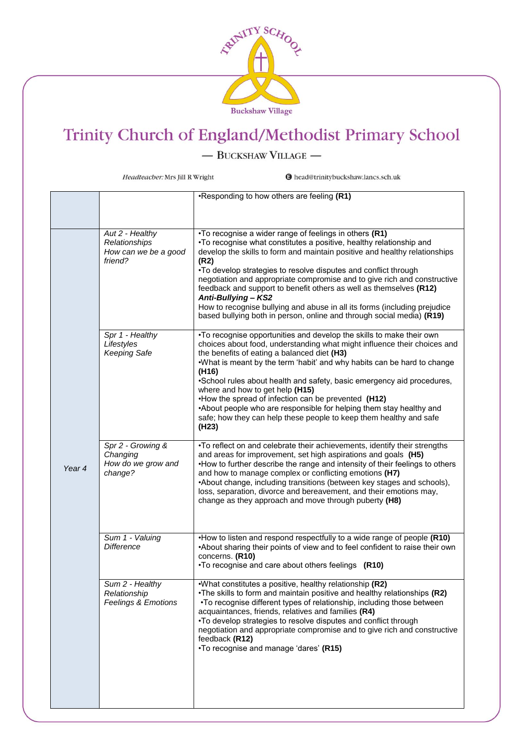

 $-$  BUCKSHAW VILLAGE  $-$ 

Headteacher: Mrs Jill R Wright

|        |                                                                     | •Responding to how others are feeling (R1)                                                                                                                                                                                                                                                                                                                                                                                                                                                                                                                                                                                   |
|--------|---------------------------------------------------------------------|------------------------------------------------------------------------------------------------------------------------------------------------------------------------------------------------------------------------------------------------------------------------------------------------------------------------------------------------------------------------------------------------------------------------------------------------------------------------------------------------------------------------------------------------------------------------------------------------------------------------------|
| Year 4 | Aut 2 - Healthy<br>Relationships<br>How can we be a good<br>friend? | •To recognise a wider range of feelings in others (R1)<br>•To recognise what constitutes a positive, healthy relationship and<br>develop the skills to form and maintain positive and healthy relationships<br>(R2)<br>•To develop strategies to resolve disputes and conflict through<br>negotiation and appropriate compromise and to give rich and constructive<br>feedback and support to benefit others as well as themselves (R12)<br>Anti-Bullying - KS2<br>How to recognise bullying and abuse in all its forms (including prejudice<br>based bullying both in person, online and through social media) (R19)        |
|        | Spr 1 - Healthy<br>Lifestyles<br><b>Keeping Safe</b>                | . To recognise opportunities and develop the skills to make their own<br>choices about food, understanding what might influence their choices and<br>the benefits of eating a balanced diet (H3)<br>.What is meant by the term 'habit' and why habits can be hard to change<br>(H16)<br>•School rules about health and safety, basic emergency aid procedures,<br>where and how to get help (H15)<br>. How the spread of infection can be prevented (H12)<br>•About people who are responsible for helping them stay healthy and<br>safe; how they can help these people to keep them healthy and safe<br>(H <sub>23</sub> ) |
|        | Spr 2 - Growing &<br>Changing<br>How do we grow and<br>change?      | . To reflect on and celebrate their achievements, identify their strengths<br>and areas for improvement, set high aspirations and goals (H5)<br>•How to further describe the range and intensity of their feelings to others<br>and how to manage complex or conflicting emotions (H7)<br>•About change, including transitions (between key stages and schools),<br>loss, separation, divorce and bereavement, and their emotions may,<br>change as they approach and move through puberty (H8)                                                                                                                              |
|        | Sum 1 - Valuing<br><b>Difference</b>                                | •How to listen and respond respectfully to a wide range of people (R10)<br>•About sharing their points of view and to feel confident to raise their own<br>concerns. (R10)<br>•To recognise and care about others feelings (R10)                                                                                                                                                                                                                                                                                                                                                                                             |
|        | Sum 2 - Healthy<br>Relationship<br><b>Feelings &amp; Emotions</b>   | .What constitutes a positive, healthy relationship (R2)<br>•The skills to form and maintain positive and healthy relationships (R2)<br>•To recognise different types of relationship, including those between<br>acquaintances, friends, relatives and families (R4)<br>•To develop strategies to resolve disputes and conflict through<br>negotiation and appropriate compromise and to give rich and constructive<br>feedback (R12)<br>•To recognise and manage 'dares' (R15)                                                                                                                                              |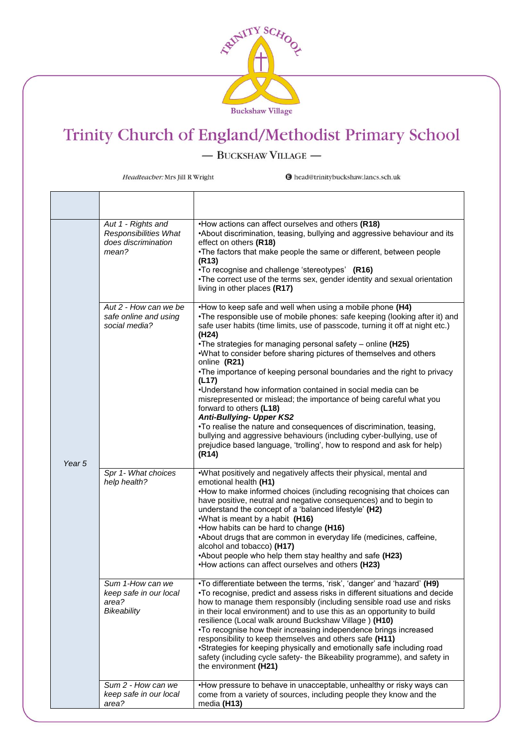

 $-$  BUCKSHAW VILLAGE  $-$ 

Headteacher: Mrs Jill R Wright

| Year 5 | Aut 1 - Rights and<br>Responsibilities What<br>does discrimination<br>mean? | •How actions can affect ourselves and others (R18)<br>•About discrimination, teasing, bullying and aggressive behaviour and its<br>effect on others (R18)<br>•The factors that make people the same or different, between people<br>(R <sub>13</sub> )<br>•To recognise and challenge 'stereotypes' (R16)<br>•The correct use of the terms sex, gender identity and sexual orientation<br>living in other places (R17)                                                                                                                                                                                                                                                                                                                                                                                                                                                                                                          |
|--------|-----------------------------------------------------------------------------|---------------------------------------------------------------------------------------------------------------------------------------------------------------------------------------------------------------------------------------------------------------------------------------------------------------------------------------------------------------------------------------------------------------------------------------------------------------------------------------------------------------------------------------------------------------------------------------------------------------------------------------------------------------------------------------------------------------------------------------------------------------------------------------------------------------------------------------------------------------------------------------------------------------------------------|
|        | Aut 2 - How can we be<br>safe online and using<br>social media?             | •How to keep safe and well when using a mobile phone (H4)<br>•The responsible use of mobile phones: safe keeping (looking after it) and<br>safe user habits (time limits, use of passcode, turning it off at night etc.)<br>(H <sub>24</sub> )<br>•The strategies for managing personal safety - online (H25)<br>.What to consider before sharing pictures of themselves and others<br>online (R21)<br>•The importance of keeping personal boundaries and the right to privacy<br>(L17)<br>. Understand how information contained in social media can be<br>misrepresented or mislead; the importance of being careful what you<br>forward to others (L18)<br><b>Anti-Bullying- Upper KS2</b><br>•To realise the nature and consequences of discrimination, teasing,<br>bullying and aggressive behaviours (including cyber-bullying, use of<br>prejudice based language, 'trolling', how to respond and ask for help)<br>(R14) |
|        | Spr 1- What choices<br>help health?                                         | .What positively and negatively affects their physical, mental and<br>emotional health (H1)<br>•How to make informed choices (including recognising that choices can<br>have positive, neutral and negative consequences) and to begin to<br>understand the concept of a 'balanced lifestyle' (H2)<br>.What is meant by a habit (H16)<br>•How habits can be hard to change (H16)<br>•About drugs that are common in everyday life (medicines, caffeine,<br>alcohol and tobacco) (H17)<br>•About people who help them stay healthy and safe (H23)<br>•How actions can affect ourselves and others (H23)                                                                                                                                                                                                                                                                                                                          |
|        | Sum 1-How can we<br>keep safe in our local<br>area?<br>Bikeability          | •To differentiate between the terms, 'risk', 'danger' and 'hazard' (H9)<br>•To recognise, predict and assess risks in different situations and decide<br>how to manage them responsibly (including sensible road use and risks<br>in their local environment) and to use this as an opportunity to build<br>resilience (Local walk around Buckshaw Village) (H10)<br>•To recognise how their increasing independence brings increased<br>responsibility to keep themselves and others safe (H11)<br>•Strategies for keeping physically and emotionally safe including road<br>safety (including cycle safety- the Bikeability programme), and safety in<br>the environment (H21)                                                                                                                                                                                                                                                |
|        | Sum 2 - How can we<br>keep safe in our local<br>area?                       | •How pressure to behave in unacceptable, unhealthy or risky ways can<br>come from a variety of sources, including people they know and the<br>media (H13)                                                                                                                                                                                                                                                                                                                                                                                                                                                                                                                                                                                                                                                                                                                                                                       |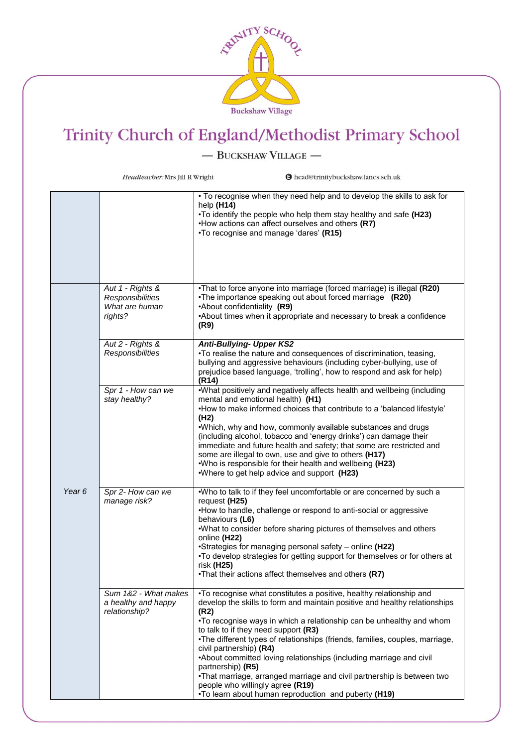

- BUCKSHAW VILLAGE -

Headteacher: Mrs Jill R Wright **O** head@trinitybuckshaw.lancs.sch.uk • To recognise when they need help and to develop the skills to ask for help **(H14)** •To identify the people who help them stay healthy and safe **(H23)** •How actions can affect ourselves and others **(R7)**  •To recognise and manage 'dares' **(R15)** *Aut 1 - Rights &*  •That to force anyone into marriage (forced marriage) is illegal **(R20)** •The importance speaking out about forced marriage **(R20)** *Responsibilities What are human*  •About confidentiality **(R9)** *rights?* •About times when it appropriate and necessary to break a confidence **(R9)** *Aut 2 - Rights & Anti-Bullying- Upper KS2 Responsibilities* •To realise the nature and consequences of discrimination, teasing, bullying and aggressive behaviours (including cyber-bullying, use of prejudice based language, 'trolling', how to respond and ask for help) **(R14)** *Spr 1 - How can we*  •What positively and negatively affects health and wellbeing (including *stay healthy?* mental and emotional health) **(H1)** •How to make informed choices that contribute to a 'balanced lifestyle' **(H2)** •Which, why and how, commonly available substances and drugs (including alcohol, tobacco and 'energy drinks') can damage their immediate and future health and safety; that some are restricted and some are illegal to own, use and give to others **(H17)** •Who is responsible for their health and wellbeing **(H23)** •Where to get help advice and support **(H23)** *Year 6 Spr 2- How can we*  •Who to talk to if they feel uncomfortable or are concerned by such a *manage risk?* request **(H25)** •How to handle, challenge or respond to anti-social or aggressive behaviours **(L6)** •What to consider before sharing pictures of themselves and others online **(H22)** •Strategies for managing personal safety – online **(H22)** •To develop strategies for getting support for themselves or for others at risk **(H25)** •That their actions affect themselves and others **(R7)** *Sum 1&2 - What makes*  •To recognise what constitutes a positive, healthy relationship and *a healthy and happy*  develop the skills to form and maintain positive and healthy relationships *relationship?* **(R2)** •To recognise ways in which a relationship can be unhealthy and whom to talk to if they need support **(R3)** •The different types of relationships (friends, families, couples, marriage, civil partnership) **(R4)** •About committed loving relationships (including marriage and civil partnership) **(R5)** •That marriage, arranged marriage and civil partnership is between two people who willingly agree **(R19)** •To learn about human reproduction and puberty **(H19)**